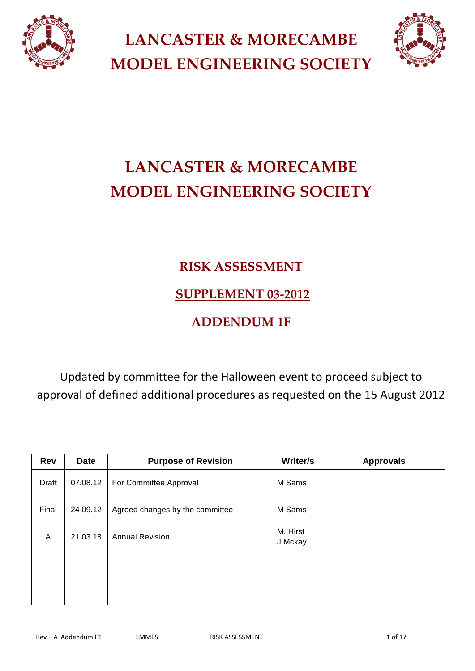

**LANCASTER & MORECAMBE MODEL ENGINEERING SOCIETY** 



# **LANCASTER & MORECAMBE MODEL ENGINEERING SOCIETY**

## **RISK ASSESSMENT**

### **SUPPLEMENT 03-2012**

# **ADDENDUM 1F**

Updated by committee for the Halloween event to proceed subject to approval of defined additional procedures as requested on the 15 August 2012

| <b>Rev</b> | <b>Date</b> | <b>Purpose of Revision</b>      | Writer/s            | <b>Approvals</b> |
|------------|-------------|---------------------------------|---------------------|------------------|
| Draft      | 07.08.12    | For Committee Approval          | M Sams              |                  |
| Final      | 24 09.12    | Agreed changes by the committee | M Sams              |                  |
| A          | 21.03.18    | <b>Annual Revision</b>          | M. Hirst<br>J Mckay |                  |
|            |             |                                 |                     |                  |
|            |             |                                 |                     |                  |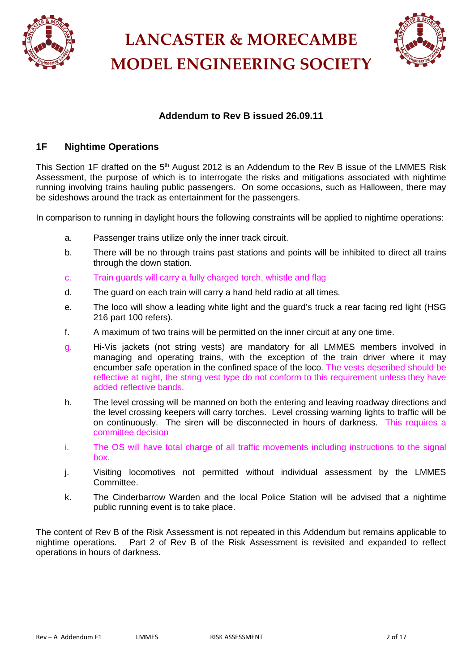

**LANCASTER & MORECAMBE MODEL ENGINEERING SOCIETY** 



### **Addendum to Rev B issued 26.09.11**

#### **1F Nightime Operations**

This Section 1F drafted on the 5<sup>th</sup> August 2012 is an Addendum to the Rev B issue of the LMMES Risk Assessment, the purpose of which is to interrogate the risks and mitigations associated with nightime running involving trains hauling public passengers. On some occasions, such as Halloween, there may be sideshows around the track as entertainment for the passengers.

In comparison to running in daylight hours the following constraints will be applied to nightime operations:

- a. Passenger trains utilize only the inner track circuit.
- b. There will be no through trains past stations and points will be inhibited to direct all trains through the down station.
- c. Train guards will carry a fully charged torch, whistle and flag
- d. The guard on each train will carry a hand held radio at all times.
- e. The loco will show a leading white light and the guard's truck a rear facing red light (HSG 216 part 100 refers).
- f. A maximum of two trains will be permitted on the inner circuit at any one time.
- g. Hi-Vis jackets (not string vests) are mandatory for all LMMES members involved in managing and operating trains, with the exception of the train driver where it may encumber safe operation in the confined space of the loco. The vests described should be reflective at night, the string vest type do not conform to this requirement unless they have added reflective bands.
- h. The level crossing will be manned on both the entering and leaving roadway directions and the level crossing keepers will carry torches. Level crossing warning lights to traffic will be on continuously. The siren will be disconnected in hours of darkness. This requires a committee decision
- i. The OS will have total charge of all traffic movements including instructions to the signal box.
- j. Visiting locomotives not permitted without individual assessment by the LMMES Committee.
- k. The Cinderbarrow Warden and the local Police Station will be advised that a nightime public running event is to take place.

The content of Rev B of the Risk Assessment is not repeated in this Addendum but remains applicable to nightime operations. Part 2 of Rev B of the Risk Assessment is revisited and expanded to reflect operations in hours of darkness.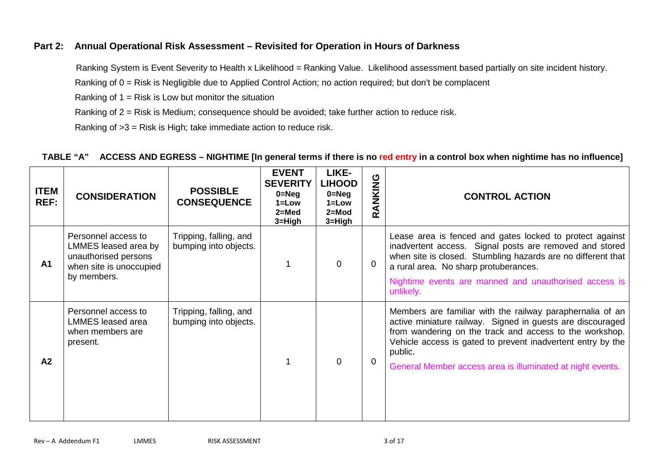#### **Part 2: Annual Operational Risk Assessment – Revisited for Operation in Hours of Darkness**

Ranking System is Event Severity to Health x Likelihood = Ranking Value. Likelihood assessment based partially on site incident history.

Ranking of 0 = Risk is Negligible due to Applied Control Action; no action required; but don't be complacent

Ranking of  $1 =$  Risk is Low but monitor the situation

Ranking of 2 = Risk is Medium; consequence should be avoided; take further action to reduce risk.

Ranking of >3 = Risk is High; take immediate action to reduce risk.

#### **TABLE "A" ACCESS AND EGRESS – NIGHTIME [In general terms if there is no red entry in a control box when nightime has no influence]**

| <b>ITEM</b><br><b>REF:</b> | <b>CONSIDERATION</b>                                                                                          | <b>POSSIBLE</b><br><b>CONSEQUENCE</b>           | <b>EVENT</b><br><b>SEVERITY</b><br>$0 = Neg$<br>$1 = Low$<br>$2 = Med$<br>3=High | LIKE-<br><b>LIHOOD</b><br>$0 = Neg$<br>$1 = Low$<br>$2 = Mod$<br>3=High | RANKING     | <b>CONTROL ACTION</b>                                                                                                                                                                                                                                                                                                      |
|----------------------------|---------------------------------------------------------------------------------------------------------------|-------------------------------------------------|----------------------------------------------------------------------------------|-------------------------------------------------------------------------|-------------|----------------------------------------------------------------------------------------------------------------------------------------------------------------------------------------------------------------------------------------------------------------------------------------------------------------------------|
| A <sub>1</sub>             | Personnel access to<br>LMMES leased area by<br>unauthorised persons<br>when site is unoccupied<br>by members. | Tripping, falling, and<br>bumping into objects. |                                                                                  | $\Omega$                                                                | $\Omega$    | Lease area is fenced and gates locked to protect against<br>inadvertent access. Signal posts are removed and stored<br>when site is closed. Stumbling hazards are no different that<br>a rural area. No sharp protuberances.<br>Nightime events are manned and unauthorised access is<br>unlikely.                         |
| A2                         | Personnel access to<br>LMMES leased area<br>when members are<br>present.                                      | Tripping, falling, and<br>bumping into objects. |                                                                                  | $\Omega$                                                                | $\mathbf 0$ | Members are familiar with the railway paraphernalia of an<br>active miniature railway. Signed in guests are discouraged<br>from wandering on the track and access to the workshop.<br>Vehicle access is gated to prevent inadvertent entry by the<br>public.<br>General Member access area is illuminated at night events. |

Rev – A Addendum F1 LMMES RISK ASSESSMENT AND ROUGHOUM 3 of 17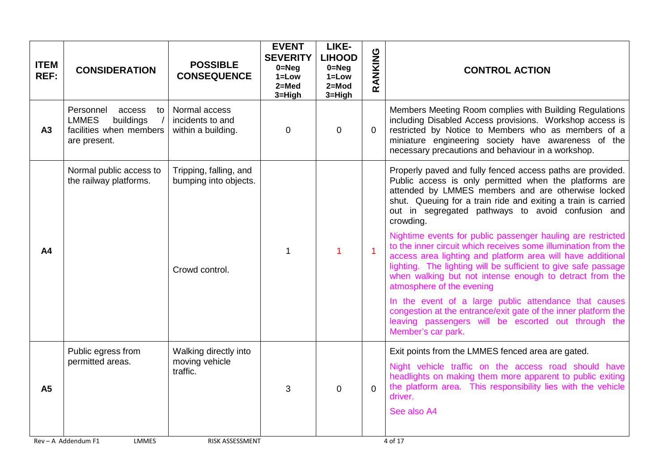| <b>ITEM</b><br><b>REF:</b> | <b>CONSIDERATION</b>                                                                              | <b>POSSIBLE</b><br><b>CONSEQUENCE</b>                   | <b>EVENT</b><br><b>SEVERITY</b><br>$0 = Neg$<br>$1 = Low$<br>$2=Med$<br>3=High | LIKE-<br><b>LIHOOD</b><br>$0 = Neg$<br>$1 = Low$<br>$2 = Mod$<br>3=High | RANKING        | <b>CONTROL ACTION</b>                                                                                                                                                                                                                                                                                                                                  |
|----------------------------|---------------------------------------------------------------------------------------------------|---------------------------------------------------------|--------------------------------------------------------------------------------|-------------------------------------------------------------------------|----------------|--------------------------------------------------------------------------------------------------------------------------------------------------------------------------------------------------------------------------------------------------------------------------------------------------------------------------------------------------------|
| A3                         | Personnel<br>access<br>to<br><b>LMMES</b><br>buildings<br>facilities when members<br>are present. | Normal access<br>incidents to and<br>within a building. | $\mathbf 0$                                                                    | 0                                                                       | 0              | Members Meeting Room complies with Building Regulations<br>including Disabled Access provisions. Workshop access is<br>restricted by Notice to Members who as members of a<br>miniature engineering society have awareness of the<br>necessary precautions and behaviour in a workshop.                                                                |
|                            | Normal public access to<br>the railway platforms.                                                 | Tripping, falling, and<br>bumping into objects.         |                                                                                |                                                                         |                | Properly paved and fully fenced access paths are provided.<br>Public access is only permitted when the platforms are<br>attended by LMMES members and are otherwise locked<br>shut. Queuing for a train ride and exiting a train is carried<br>out in segregated pathways to avoid confusion and<br>crowding.                                          |
| A <sub>4</sub>             |                                                                                                   | Crowd control.                                          | 1                                                                              | $\overline{1}$                                                          | $\overline{1}$ | Nightime events for public passenger hauling are restricted<br>to the inner circuit which receives some illumination from the<br>access area lighting and platform area will have additional<br>lighting. The lighting will be sufficient to give safe passage<br>when walking but not intense enough to detract from the<br>atmosphere of the evening |
|                            |                                                                                                   |                                                         |                                                                                |                                                                         |                | In the event of a large public attendance that causes<br>congestion at the entrance/exit gate of the inner platform the<br>leaving passengers will be escorted out through the<br>Member's car park.                                                                                                                                                   |
|                            | Public egress from                                                                                | Walking directly into                                   |                                                                                |                                                                         |                | Exit points from the LMMES fenced area are gated.                                                                                                                                                                                                                                                                                                      |
| <b>A5</b>                  | permitted areas.                                                                                  | moving vehicle<br>traffic.                              | 3                                                                              | $\overline{0}$                                                          | $\Omega$       | Night vehicle traffic on the access road should have<br>headlights on making them more apparent to public exiting<br>the platform area. This responsibility lies with the vehicle<br>driver.                                                                                                                                                           |
|                            |                                                                                                   |                                                         |                                                                                |                                                                         |                | See also A4                                                                                                                                                                                                                                                                                                                                            |
|                            | Rev - A Addendum F1<br>LMMES                                                                      | RISK ASSESSMENT                                         |                                                                                |                                                                         |                | 4 of 17                                                                                                                                                                                                                                                                                                                                                |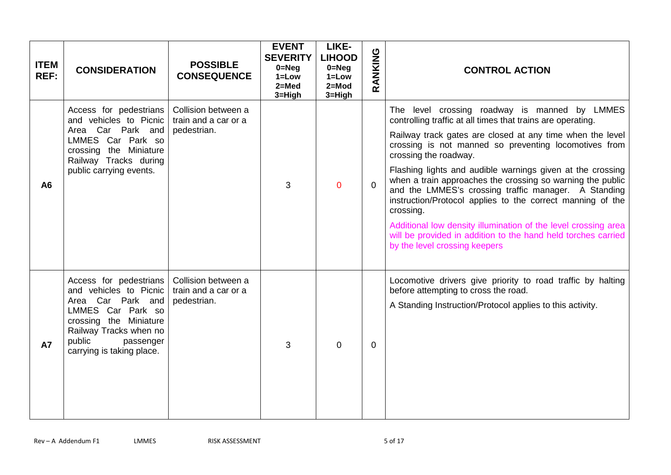| <b>ITEM</b><br>REF: | <b>CONSIDERATION</b>                                                                                                                                                                               | <b>POSSIBLE</b><br><b>CONSEQUENCE</b>                      | <b>EVENT</b><br><b>SEVERITY</b><br>$0 = Neg$<br>$1 = Low$<br>$2=Med$<br>3=High | LIKE-<br><b>LIHOOD</b><br>$0 = Neg$<br>$1 = Low$<br>$2 = Mod$<br>3=High | RANKING  | <b>CONTROL ACTION</b>                                                                                                                                                                                                                                                                                                                                                                                                                                                                                                                                                                                                                                                                          |
|---------------------|----------------------------------------------------------------------------------------------------------------------------------------------------------------------------------------------------|------------------------------------------------------------|--------------------------------------------------------------------------------|-------------------------------------------------------------------------|----------|------------------------------------------------------------------------------------------------------------------------------------------------------------------------------------------------------------------------------------------------------------------------------------------------------------------------------------------------------------------------------------------------------------------------------------------------------------------------------------------------------------------------------------------------------------------------------------------------------------------------------------------------------------------------------------------------|
| A6                  | Access for pedestrians<br>and vehicles to Picnic<br>Area Car Park and<br>LMMES Car Park so<br>crossing the Miniature<br>Railway Tracks during<br>public carrying events.                           | Collision between a<br>train and a car or a<br>pedestrian. | 3                                                                              | $\mathbf{0}$                                                            | $\Omega$ | The level crossing roadway is manned by LMMES<br>controlling traffic at all times that trains are operating.<br>Railway track gates are closed at any time when the level<br>crossing is not manned so preventing locomotives from<br>crossing the roadway.<br>Flashing lights and audible warnings given at the crossing<br>when a train approaches the crossing so warning the public<br>and the LMMES's crossing traffic manager. A Standing<br>instruction/Protocol applies to the correct manning of the<br>crossing.<br>Additional low density illumination of the level crossing area<br>will be provided in addition to the hand held torches carried<br>by the level crossing keepers |
| <b>A7</b>           | Access for pedestrians<br>and vehicles to Picnic<br>Area Car Park and<br>LMMES Car Park so<br>crossing the Miniature<br>Railway Tracks when no<br>public<br>passenger<br>carrying is taking place. | Collision between a<br>train and a car or a<br>pedestrian. | 3                                                                              | $\Omega$                                                                | 0        | Locomotive drivers give priority to road traffic by halting<br>before attempting to cross the road.<br>A Standing Instruction/Protocol applies to this activity.                                                                                                                                                                                                                                                                                                                                                                                                                                                                                                                               |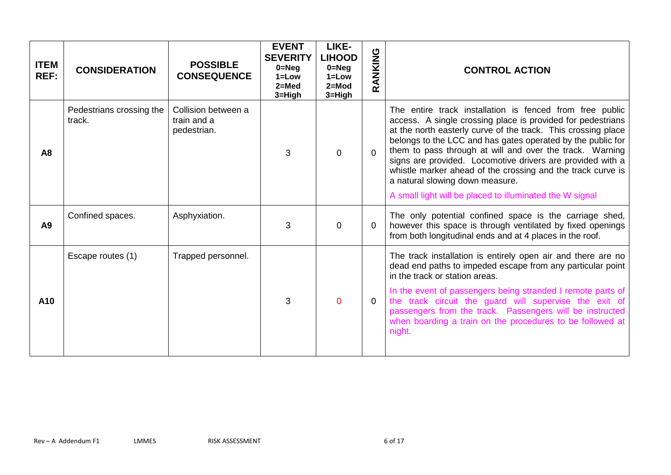| <b>ITEM</b><br>REF: | <b>CONSIDERATION</b>               | <b>POSSIBLE</b><br><b>CONSEQUENCE</b>             | <b>EVENT</b><br><b>SEVERITY</b><br>$0 = Neg$<br>$1 = Low$<br>$2 = Med$<br>3=High | <b>LIKE-</b><br><b>LIHOOD</b><br>$0 = Neg$<br>$1 = Low$<br>$2 = Mod$<br>3=High | RANKING     | <b>CONTROL ACTION</b>                                                                                                                                                                                                                                                                                                                                                                                                                                                                                                                           |
|---------------------|------------------------------------|---------------------------------------------------|----------------------------------------------------------------------------------|--------------------------------------------------------------------------------|-------------|-------------------------------------------------------------------------------------------------------------------------------------------------------------------------------------------------------------------------------------------------------------------------------------------------------------------------------------------------------------------------------------------------------------------------------------------------------------------------------------------------------------------------------------------------|
| A <sub>8</sub>      | Pedestrians crossing the<br>track. | Collision between a<br>train and a<br>pedestrian. | 3                                                                                | $\Omega$                                                                       | $\Omega$    | The entire track installation is fenced from free public<br>access. A single crossing place is provided for pedestrians<br>at the north easterly curve of the track. This crossing place<br>belongs to the LCC and has gates operated by the public for<br>them to pass through at will and over the track. Warning<br>signs are provided. Locomotive drivers are provided with a<br>whistle marker ahead of the crossing and the track curve is<br>a natural slowing down measure.<br>A small light will be placed to illuminated the W signal |
| A <sub>9</sub>      | Confined spaces.                   | Asphyxiation.                                     | 3                                                                                | $\mathbf 0$                                                                    | $\mathbf 0$ | The only potential confined space is the carriage shed,<br>however this space is through ventilated by fixed openings<br>from both longitudinal ends and at 4 places in the roof.                                                                                                                                                                                                                                                                                                                                                               |
| A10                 | Escape routes (1)                  | Trapped personnel.                                | 3                                                                                | $\Omega$                                                                       | 0           | The track installation is entirely open air and there are no<br>dead end paths to impeded escape from any particular point<br>in the track or station areas.<br>In the event of passengers being stranded I remote parts of<br>the track circuit the guard will supervise the exit of<br>passengers from the track. Passengers will be instructed<br>when boarding a train on the procedures to be followed at<br>night.                                                                                                                        |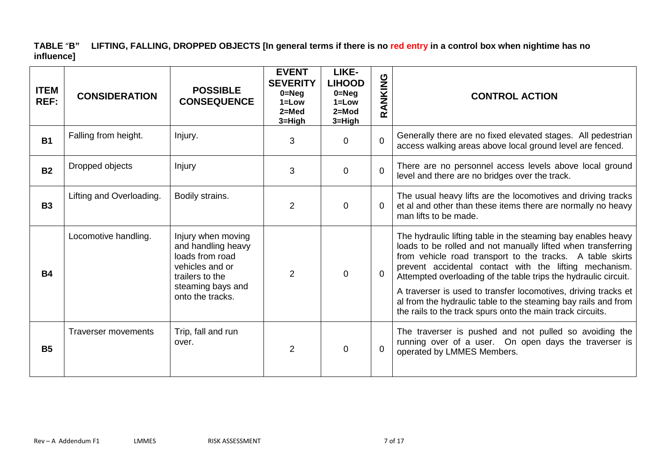### **TABLE** "**B" LIFTING, FALLING, DROPPED OBJECTS [In general terms if there is no red entry in a control box when nightime has no influence]**

| <b>ITEM</b><br><b>REF:</b> | <b>CONSIDERATION</b>       | <b>POSSIBLE</b><br><b>CONSEQUENCE</b>                                                                                                      | <b>EVENT</b><br><b>SEVERITY</b><br>$0 = Neg$<br>$1 = Low$<br>$2 = Med$<br>3=High | LIKE-<br><b>LIHOOD</b><br>$0 = Neg$<br>$1 = Low$<br>$2 = Mod$<br>3=High | RANKING        | <b>CONTROL ACTION</b>                                                                                                                                                                                                                                                                                                                                                                                                                                                                                                     |
|----------------------------|----------------------------|--------------------------------------------------------------------------------------------------------------------------------------------|----------------------------------------------------------------------------------|-------------------------------------------------------------------------|----------------|---------------------------------------------------------------------------------------------------------------------------------------------------------------------------------------------------------------------------------------------------------------------------------------------------------------------------------------------------------------------------------------------------------------------------------------------------------------------------------------------------------------------------|
| <b>B1</b>                  | Falling from height.       | Injury.                                                                                                                                    | 3                                                                                | $\Omega$                                                                | $\overline{0}$ | Generally there are no fixed elevated stages. All pedestrian<br>access walking areas above local ground level are fenced.                                                                                                                                                                                                                                                                                                                                                                                                 |
| <b>B2</b>                  | Dropped objects            | Injury                                                                                                                                     | 3                                                                                | $\mathbf{0}$                                                            | $\mathbf 0$    | There are no personnel access levels above local ground<br>level and there are no bridges over the track.                                                                                                                                                                                                                                                                                                                                                                                                                 |
| <b>B3</b>                  | Lifting and Overloading.   | Bodily strains.                                                                                                                            | $\overline{2}$                                                                   | $\mathbf{0}$                                                            | $\Omega$       | The usual heavy lifts are the locomotives and driving tracks<br>et al and other than these items there are normally no heavy<br>man lifts to be made.                                                                                                                                                                                                                                                                                                                                                                     |
| <b>B4</b>                  | Locomotive handling.       | Injury when moving<br>and handling heavy<br>loads from road<br>vehicles and or<br>trailers to the<br>steaming bays and<br>onto the tracks. | $\overline{2}$                                                                   | $\mathbf{0}$                                                            | $\mathbf 0$    | The hydraulic lifting table in the steaming bay enables heavy<br>loads to be rolled and not manually lifted when transferring<br>from vehicle road transport to the tracks. A table skirts<br>prevent accidental contact with the lifting mechanism.<br>Attempted overloading of the table trips the hydraulic circuit.<br>A traverser is used to transfer locomotives, driving tracks et<br>al from the hydraulic table to the steaming bay rails and from<br>the rails to the track spurs onto the main track circuits. |
| <b>B5</b>                  | <b>Traverser movements</b> | Trip, fall and run<br>over.                                                                                                                | $\overline{2}$                                                                   | $\Omega$                                                                | $\overline{0}$ | The traverser is pushed and not pulled so avoiding the<br>running over of a user. On open days the traverser is<br>operated by LMMES Members.                                                                                                                                                                                                                                                                                                                                                                             |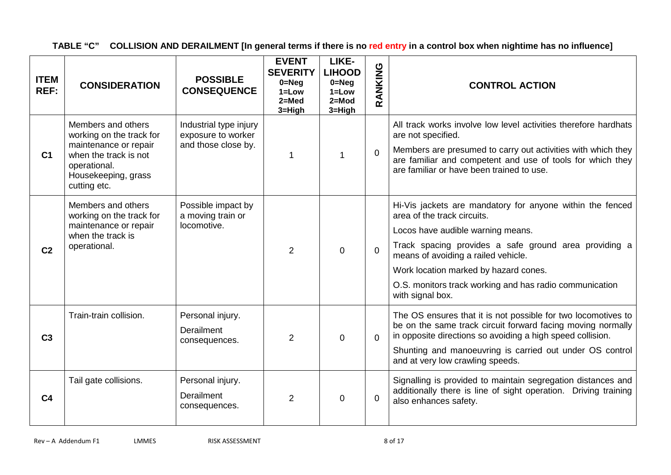**TABLE "C" COLLISION AND DERAILMENT [In general terms if there is no red entry in a control box when nightime has no influence]** 

| <b>ITEM</b><br>REF: | <b>CONSIDERATION</b>                                                                                                                                    | <b>POSSIBLE</b><br><b>CONSEQUENCE</b>                               | <b>EVENT</b><br><b>SEVERITY</b><br>$0 = Neg$<br>$1 = Low$<br>$2=Med$<br>3=High | LIKE-<br><b>LIHOOD</b><br>$0 = Neg$<br>$1 = Low$<br>$2=Mod$<br>$3 = High$ | RANKING     | <b>CONTROL ACTION</b>                                                                                                                                                                                                                                                                                                                                 |
|---------------------|---------------------------------------------------------------------------------------------------------------------------------------------------------|---------------------------------------------------------------------|--------------------------------------------------------------------------------|---------------------------------------------------------------------------|-------------|-------------------------------------------------------------------------------------------------------------------------------------------------------------------------------------------------------------------------------------------------------------------------------------------------------------------------------------------------------|
| C <sub>1</sub>      | Members and others<br>working on the track for<br>maintenance or repair<br>when the track is not<br>operational.<br>Housekeeping, grass<br>cutting etc. | Industrial type injury<br>exposure to worker<br>and those close by. | 1                                                                              | $\mathbf 1$                                                               | $\Omega$    | All track works involve low level activities therefore hardhats<br>are not specified.<br>Members are presumed to carry out activities with which they<br>are familiar and competent and use of tools for which they<br>are familiar or have been trained to use.                                                                                      |
| C <sub>2</sub>      | Members and others<br>working on the track for<br>maintenance or repair<br>when the track is<br>operational.                                            | Possible impact by<br>a moving train or<br>locomotive.              | $\overline{2}$                                                                 | $\Omega$                                                                  | $\Omega$    | Hi-Vis jackets are mandatory for anyone within the fenced<br>area of the track circuits.<br>Locos have audible warning means.<br>Track spacing provides a safe ground area providing a<br>means of avoiding a railed vehicle.<br>Work location marked by hazard cones.<br>O.S. monitors track working and has radio communication<br>with signal box. |
| C <sub>3</sub>      | Train-train collision.                                                                                                                                  | Personal injury.<br>Derailment<br>consequences.                     | $\overline{2}$                                                                 | $\mathbf 0$                                                               | $\Omega$    | The OS ensures that it is not possible for two locomotives to<br>be on the same track circuit forward facing moving normally<br>in opposite directions so avoiding a high speed collision.<br>Shunting and manoeuvring is carried out under OS control<br>and at very low crawling speeds.                                                            |
| C <sub>4</sub>      | Tail gate collisions.                                                                                                                                   | Personal injury.<br>Derailment<br>consequences.                     | $\overline{2}$                                                                 | $\overline{0}$                                                            | $\mathbf 0$ | Signalling is provided to maintain segregation distances and<br>additionally there is line of sight operation. Driving training<br>also enhances safety.                                                                                                                                                                                              |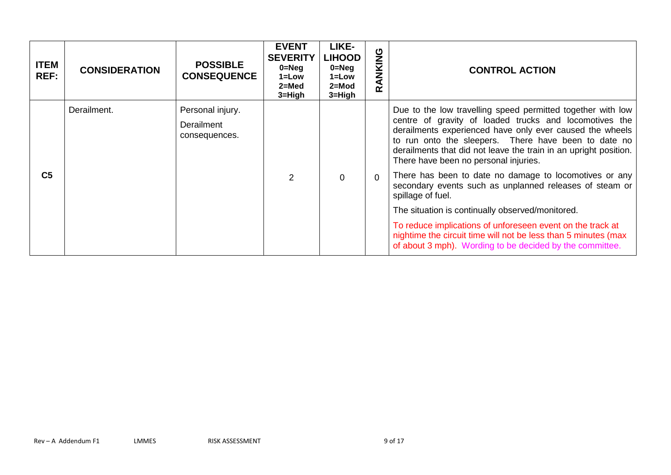| <b>ITEM</b><br>REF: | <b>CONSIDERATION</b>        | <b>POSSIBLE</b><br><b>CONSEQUENCE</b> | <b>EVENT</b><br><b>SEVERITY</b><br>$0 = Neg$<br>$1 = Low$<br>$2 = Med$<br>$3 = High$                                                                                                                                                                                                    | LIKE-<br><b>LIHOOD</b><br>$0 = Neg$<br>$1 = Low$<br>$2 = Mod$<br>$3 = High$ | ANKING<br>œ | <b>CONTROL ACTION</b>                                                                                                                                                                    |
|---------------------|-----------------------------|---------------------------------------|-----------------------------------------------------------------------------------------------------------------------------------------------------------------------------------------------------------------------------------------------------------------------------------------|-----------------------------------------------------------------------------|-------------|------------------------------------------------------------------------------------------------------------------------------------------------------------------------------------------|
|                     | Derailment.                 | Personal injury.                      |                                                                                                                                                                                                                                                                                         |                                                                             |             | Due to the low travelling speed permitted together with low                                                                                                                              |
|                     | Derailment<br>consequences. |                                       | centre of gravity of loaded trucks and locomotives the<br>derailments experienced have only ever caused the wheels<br>to run onto the sleepers. There have been to date no<br>derailments that did not leave the train in an upright position.<br>There have been no personal injuries. |                                                                             |             |                                                                                                                                                                                          |
| C <sub>5</sub>      |                             |                                       | $\overline{2}$                                                                                                                                                                                                                                                                          | $\mathbf 0$                                                                 | $\Omega$    | There has been to date no damage to locomotives or any<br>secondary events such as unplanned releases of steam or<br>spillage of fuel.                                                   |
|                     |                             |                                       |                                                                                                                                                                                                                                                                                         |                                                                             |             | The situation is continually observed/monitored.                                                                                                                                         |
|                     |                             |                                       |                                                                                                                                                                                                                                                                                         |                                                                             |             | To reduce implications of unforeseen event on the track at<br>nightime the circuit time will not be less than 5 minutes (max<br>of about 3 mph). Wording to be decided by the committee. |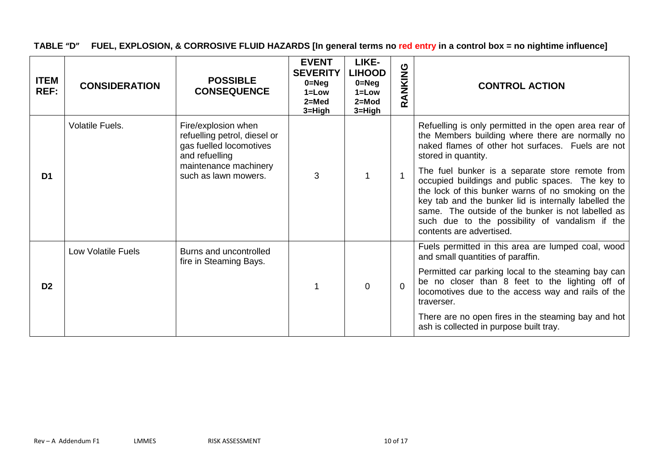**TABLE "D" FUEL, EXPLOSION, & CORROSIVE FLUID HAZARDS [In general terms no red entry in a control box = no nightime influence]** 

| <b>ITEM</b><br>REF: | <b>CONSIDERATION</b>      | <b>POSSIBLE</b><br><b>CONSEQUENCE</b>                                                                                     | <b>EVENT</b><br><b>SEVERITY</b><br>$0 = Neg$<br>$1 = Low$<br>$2=$ Med<br>3=High | LIKE-<br><b>LIHOOD</b><br>$0 = Neg$<br>$1 = Low$<br>$2 = Mod$<br>3=High | RANKING     | <b>CONTROL ACTION</b>                                                                                                                                                                                                                                                                                                                                   |
|---------------------|---------------------------|---------------------------------------------------------------------------------------------------------------------------|---------------------------------------------------------------------------------|-------------------------------------------------------------------------|-------------|---------------------------------------------------------------------------------------------------------------------------------------------------------------------------------------------------------------------------------------------------------------------------------------------------------------------------------------------------------|
|                     | Volatile Fuels.           | Fire/explosion when<br>refuelling petrol, diesel or<br>gas fuelled locomotives<br>and refuelling<br>maintenance machinery |                                                                                 |                                                                         |             | Refuelling is only permitted in the open area rear of<br>the Members building where there are normally no<br>naked flames of other hot surfaces. Fuels are not<br>stored in quantity.                                                                                                                                                                   |
| D <sub>1</sub>      |                           | such as lawn mowers.                                                                                                      | 3                                                                               |                                                                         | 1           | The fuel bunker is a separate store remote from<br>occupied buildings and public spaces. The key to<br>the lock of this bunker warns of no smoking on the<br>key tab and the bunker lid is internally labelled the<br>same. The outside of the bunker is not labelled as<br>such due to the possibility of vandalism if the<br>contents are advertised. |
|                     | <b>Low Volatile Fuels</b> | Burns and uncontrolled<br>fire in Steaming Bays.                                                                          |                                                                                 |                                                                         |             | Fuels permitted in this area are lumped coal, wood<br>and small quantities of paraffin.                                                                                                                                                                                                                                                                 |
| D <sub>2</sub>      |                           |                                                                                                                           |                                                                                 | $\Omega$                                                                | $\mathbf 0$ | Permitted car parking local to the steaming bay can<br>be no closer than 8 feet to the lighting off of<br>locomotives due to the access way and rails of the<br>traverser.                                                                                                                                                                              |
|                     |                           |                                                                                                                           |                                                                                 |                                                                         |             | There are no open fires in the steaming bay and hot<br>ash is collected in purpose built tray.                                                                                                                                                                                                                                                          |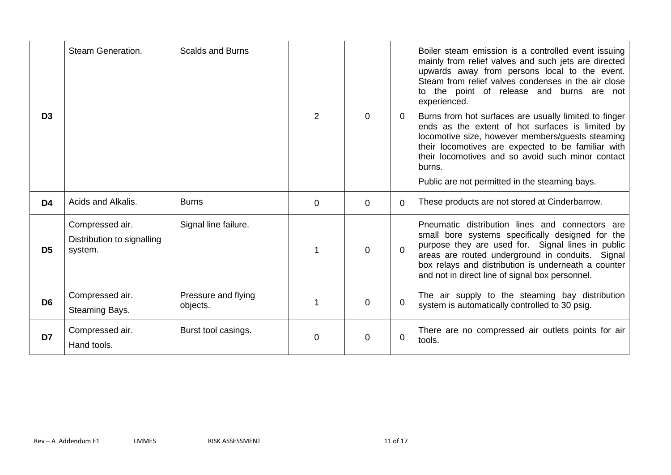|                | Steam Generation.                                        | <b>Scalds and Burns</b>         |          |   |                | Boiler steam emission is a controlled event issuing<br>mainly from relief valves and such jets are directed<br>upwards away from persons local to the event.<br>Steam from relief valves condenses in the air close<br>to the point of release and burns are not<br>experienced.                                                     |
|----------------|----------------------------------------------------------|---------------------------------|----------|---|----------------|--------------------------------------------------------------------------------------------------------------------------------------------------------------------------------------------------------------------------------------------------------------------------------------------------------------------------------------|
| D <sub>3</sub> |                                                          |                                 | 2        | 0 | $\mathbf 0$    | Burns from hot surfaces are usually limited to finger<br>ends as the extent of hot surfaces is limited by<br>locomotive size, however members/guests steaming<br>their locomotives are expected to be familiar with<br>their locomotives and so avoid such minor contact<br>burns.<br>Public are not permitted in the steaming bays. |
| D <sub>4</sub> | Acids and Alkalis.                                       | <b>Burns</b>                    | $\Omega$ | 0 | $\Omega$       | These products are not stored at Cinderbarrow.                                                                                                                                                                                                                                                                                       |
| D <sub>5</sub> | Compressed air.<br>Distribution to signalling<br>system. | Signal line failure.            |          | 0 | $\overline{0}$ | Pneumatic distribution lines and connectors<br>are<br>small bore systems specifically designed for the<br>purpose they are used for. Signal lines in public<br>areas are routed underground in conduits. Signal<br>box relays and distribution is underneath a counter<br>and not in direct line of signal box personnel.            |
| D <sub>6</sub> | Compressed air.<br>Steaming Bays.                        | Pressure and flying<br>objects. |          | 0 | 0              | The air supply to the steaming bay distribution<br>system is automatically controlled to 30 psig.                                                                                                                                                                                                                                    |
| D7             | Compressed air.<br>Hand tools.                           | Burst tool casings.             | $\Omega$ | 0 | 0              | There are no compressed air outlets points for air<br>tools.                                                                                                                                                                                                                                                                         |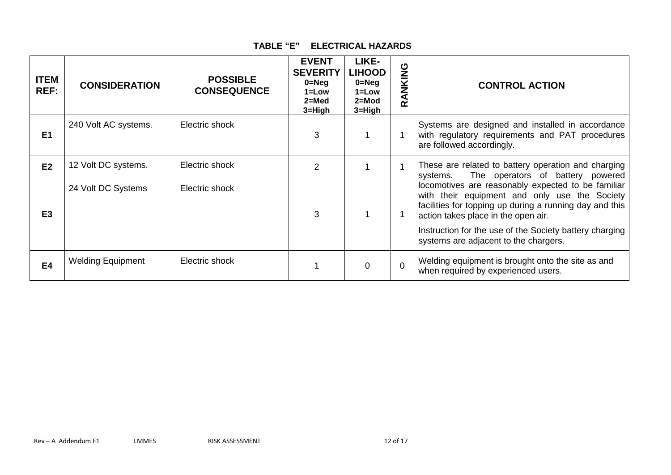#### **TABLE "E" ELECTRICAL HAZARDS**

| <b>ITEM</b><br>REF: | <b>CONSIDERATION</b>     | <b>POSSIBLE</b><br><b>CONSEQUENCE</b> | <b>EVENT</b><br><b>SEVERITY</b><br>$0 = Neg$<br>$1 = Low$<br>$2 = Med$<br>3=High | LIKE-<br><b>LIHOOD</b><br>$0 = Neg$<br>$1 = Low$<br>$2 = Mod$<br>3=High | RANKING     | <b>CONTROL ACTION</b>                                                                                                                                                                                                                                                                                     |
|---------------------|--------------------------|---------------------------------------|----------------------------------------------------------------------------------|-------------------------------------------------------------------------|-------------|-----------------------------------------------------------------------------------------------------------------------------------------------------------------------------------------------------------------------------------------------------------------------------------------------------------|
| E <sub>1</sub>      | 240 Volt AC systems.     | Electric shock                        | 3                                                                                |                                                                         | -1          | Systems are designed and installed in accordance<br>with regulatory requirements and PAT procedures<br>are followed accordingly.                                                                                                                                                                          |
| E2                  | 12 Volt DC systems.      | Electric shock                        | 2                                                                                |                                                                         | 1           | These are related to battery operation and charging<br>The operators of battery powered<br>systems.                                                                                                                                                                                                       |
| E <sub>3</sub>      | 24 Volt DC Systems       | Electric shock                        | 3                                                                                |                                                                         |             | locomotives are reasonably expected to be familiar<br>with their equipment and only use the Society<br>facilities for topping up during a running day and this<br>action takes place in the open air.<br>Instruction for the use of the Society battery charging<br>systems are adjacent to the chargers. |
| <b>E4</b>           | <b>Welding Equipment</b> | Electric shock                        |                                                                                  | 0                                                                       | $\mathbf 0$ | Welding equipment is brought onto the site as and<br>when required by experienced users.                                                                                                                                                                                                                  |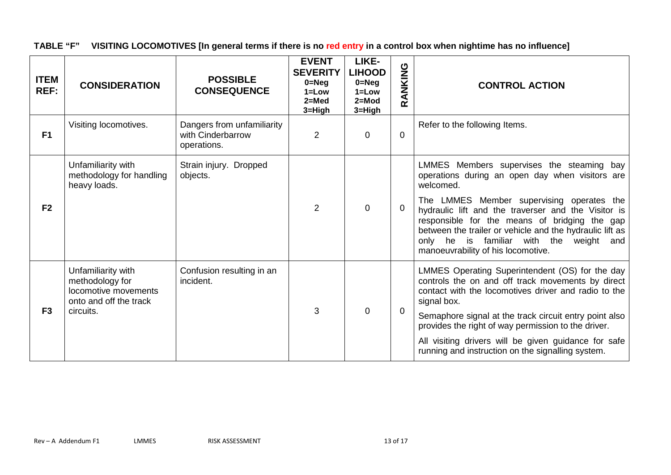**TABLE "F" VISITING LOCOMOTIVES [In general terms if there is no red entry in a control box when nightime has no influence]** 

| <b>ITEM</b><br>REF: | <b>CONSIDERATION</b>                                                                    | <b>POSSIBLE</b><br><b>CONSEQUENCE</b>                          | <b>EVENT</b><br><b>SEVERITY</b><br>$0 = Neg$<br>$1 = Low$<br>$2=Med$<br>3=High | LIKE-<br><b>LIHOOD</b><br>$0 = Neq$<br>$1 = Low$<br>$2 = Mod$<br>3=High | RANKING        | <b>CONTROL ACTION</b>                                                                                                                                                                                                                                                                          |
|---------------------|-----------------------------------------------------------------------------------------|----------------------------------------------------------------|--------------------------------------------------------------------------------|-------------------------------------------------------------------------|----------------|------------------------------------------------------------------------------------------------------------------------------------------------------------------------------------------------------------------------------------------------------------------------------------------------|
| F1                  | Visiting locomotives.                                                                   | Dangers from unfamiliarity<br>with Cinderbarrow<br>operations. | $\overline{2}$                                                                 | $\mathbf 0$                                                             | $\overline{0}$ | Refer to the following Items.                                                                                                                                                                                                                                                                  |
|                     | Unfamiliarity with<br>methodology for handling<br>heavy loads.                          | Strain injury. Dropped<br>objects.                             |                                                                                |                                                                         |                | LMMES Members supervises the steaming bay<br>operations during an open day when visitors are<br>welcomed.                                                                                                                                                                                      |
| F <sub>2</sub>      |                                                                                         |                                                                | $\overline{2}$                                                                 | $\Omega$                                                                | $\mathbf 0$    | The LMMES Member supervising operates the<br>hydraulic lift and the traverser and the Visitor is<br>responsible for the means of bridging the gap<br>between the trailer or vehicle and the hydraulic lift as<br>only he is familiar with the weight and<br>manoeuvrability of his locomotive. |
|                     | Unfamiliarity with<br>methodology for<br>locomotive movements<br>onto and off the track | Confusion resulting in an<br>incident.                         | 3                                                                              |                                                                         |                | LMMES Operating Superintendent (OS) for the day<br>controls the on and off track movements by direct<br>contact with the locomotives driver and radio to the<br>signal box.                                                                                                                    |
| F <sub>3</sub>      | circuits.                                                                               |                                                                |                                                                                | $\Omega$                                                                | $\overline{0}$ | Semaphore signal at the track circuit entry point also<br>provides the right of way permission to the driver.                                                                                                                                                                                  |
|                     |                                                                                         |                                                                |                                                                                |                                                                         |                | All visiting drivers will be given guidance for safe<br>running and instruction on the signalling system.                                                                                                                                                                                      |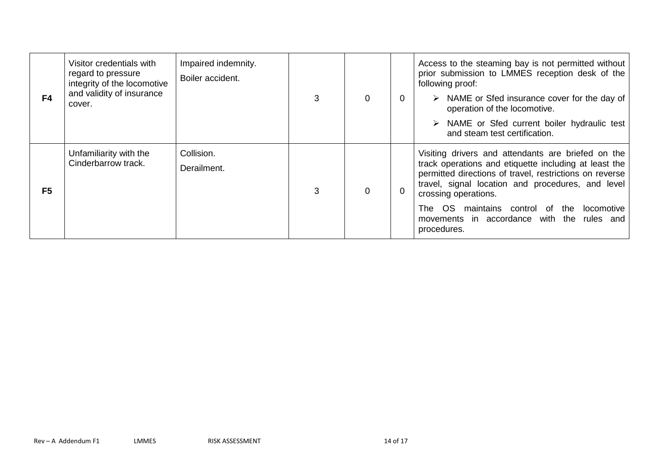| F4             | Visitor credentials with<br>regard to pressure<br>integrity of the locomotive<br>and validity of insurance<br>cover. | Impaired indemnity.<br>Boiler accident. |   | 0 | $\overline{0}$ | Access to the steaming bay is not permitted without<br>prior submission to LMMES reception desk of the<br>following proof:<br>NAME or Sfed insurance cover for the day of<br>operation of the locomotive.<br>$\triangleright$ NAME or Sfed current boiler hydraulic test<br>and steam test certification.                                                         |
|----------------|----------------------------------------------------------------------------------------------------------------------|-----------------------------------------|---|---|----------------|-------------------------------------------------------------------------------------------------------------------------------------------------------------------------------------------------------------------------------------------------------------------------------------------------------------------------------------------------------------------|
| F <sub>5</sub> | Unfamiliarity with the<br>Cinderbarrow track.                                                                        | Collision.<br>Derailment.               | 3 | 0 | 0              | Visiting drivers and attendants are briefed on the<br>track operations and etiquette including at least the<br>permitted directions of travel, restrictions on reverse<br>travel, signal location and procedures, and level<br>crossing operations.<br>The OS maintains control of the<br>locomotive<br>movements in accordance with the rules and<br>procedures. |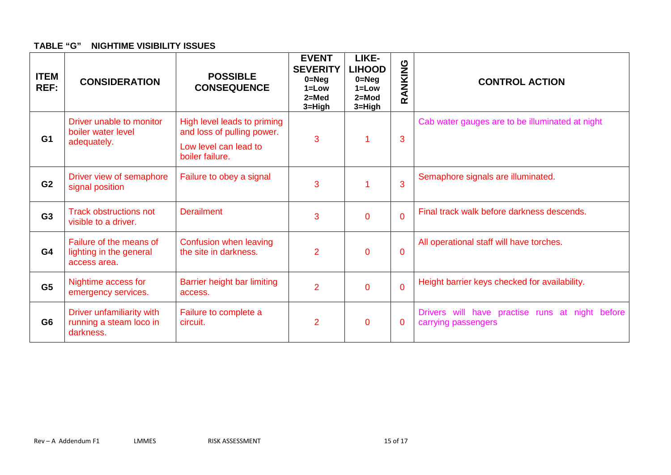#### **TABLE "G" NIGHTIME VISIBILITY ISSUES**

| <b>ITEM</b><br>REF: | <b>CONSIDERATION</b>                                               | <b>POSSIBLE</b><br><b>CONSEQUENCE</b>                     | <b>EVENT</b><br><b>SEVERITY</b><br>$0 = Neg$<br>$1 = Low$<br>$2=$ Med<br>$3 = High$ | LIKE-<br><b>LIHOOD</b><br>$0 = Neq$<br>$1 = Low$<br>$2 = Mod$<br>3=High | RANKING        | <b>CONTROL ACTION</b>                                                  |
|---------------------|--------------------------------------------------------------------|-----------------------------------------------------------|-------------------------------------------------------------------------------------|-------------------------------------------------------------------------|----------------|------------------------------------------------------------------------|
| G <sub>1</sub>      | Driver unable to monitor<br>boiler water level<br>adequately.      | High level leads to priming<br>and loss of pulling power. | 3                                                                                   |                                                                         | 3              | Cab water gauges are to be illuminated at night                        |
|                     |                                                                    | Low level can lead to<br>boiler failure.                  |                                                                                     |                                                                         |                |                                                                        |
| G <sub>2</sub>      | Driver view of semaphore<br>signal position                        | Failure to obey a signal                                  | 3                                                                                   |                                                                         | 3              | Semaphore signals are illuminated.                                     |
| G <sub>3</sub>      | <b>Track obstructions not</b><br>visible to a driver.              | <b>Derailment</b>                                         | 3                                                                                   | $\overline{0}$                                                          | $\overline{0}$ | Final track walk before darkness descends.                             |
| G <sub>4</sub>      | Failure of the means of<br>lighting in the general<br>access area. | Confusion when leaving<br>the site in darkness.           | $\overline{2}$                                                                      | $\overline{0}$                                                          | $\overline{0}$ | All operational staff will have torches.                               |
| G <sub>5</sub>      | Nightime access for<br>emergency services.                         | Barrier height bar limiting<br>access.                    | $\overline{2}$                                                                      | $\overline{0}$                                                          | $\overline{0}$ | Height barrier keys checked for availability.                          |
| G <sub>6</sub>      | Driver unfamiliarity with<br>running a steam loco in<br>darkness.  | Failure to complete a<br>circuit.                         | $\overline{2}$                                                                      | $\overline{0}$                                                          | $\overline{0}$ | Drivers will have practise runs at night before<br>carrying passengers |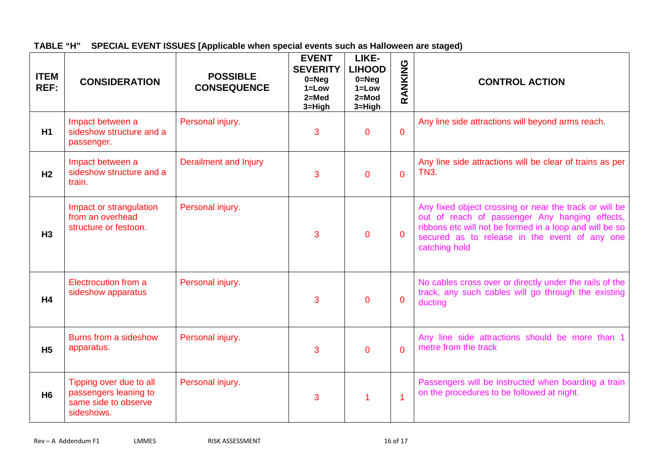**TABLE "H" SPECIAL EVENT ISSUES [Applicable when special events such as Halloween are staged)**

| <b>ITEM</b><br>REF: | <b>CONSIDERATION</b>                                                                   | <b>POSSIBLE</b><br><b>CONSEQUENCE</b> | <b>EVENT</b><br><b>SEVERITY</b><br>$0 = Neg$<br>$1 = Low$<br>$2 = Med$<br>3=High | LIKE-<br><b>LIHOOD</b><br>$0 = Neq$<br>$1 = Low$<br>$2=Mod$<br>3=High | RANKING        | <b>CONTROL ACTION</b>                                                                                                                                                                                                                 |
|---------------------|----------------------------------------------------------------------------------------|---------------------------------------|----------------------------------------------------------------------------------|-----------------------------------------------------------------------|----------------|---------------------------------------------------------------------------------------------------------------------------------------------------------------------------------------------------------------------------------------|
| H1                  | Impact between a<br>sideshow structure and a<br>passenger.                             | Personal injury.                      | 3                                                                                | $\mathbf 0$                                                           | $\mathbf{0}$   | Any line side attractions will beyond arms reach.                                                                                                                                                                                     |
| H <sub>2</sub>      | Impact between a<br>sideshow structure and a<br>train.                                 | <b>Derailment and Injury</b>          | 3                                                                                | $\overline{0}$                                                        | $\overline{0}$ | Any line side attractions will be clear of trains as per<br><b>TN3.</b>                                                                                                                                                               |
| H <sub>3</sub>      | Impact or strangulation<br>from an overhead<br>structure or festoon.                   | Personal injury.                      | 3                                                                                | $\mathbf{0}$                                                          | $\Omega$       | Any fixed object crossing or near the track or will be<br>out of reach of passenger Any hanging effects,<br>ribbons etc will not be formed in a loop and will be so<br>secured as to release in the event of any one<br>catching hold |
| H <sub>4</sub>      | Electrocution from a<br>sideshow apparatus                                             | Personal injury.                      | 3                                                                                | $\overline{0}$                                                        | $\overline{0}$ | No cables cross over or directly under the rails of the<br>track, any such cables will go through the existing<br>ducting                                                                                                             |
| H <sub>5</sub>      | Burns from a sideshow<br>apparatus.                                                    | Personal injury.                      | 3                                                                                | $\mathbf{0}$                                                          | $\Omega$       | Any line side attractions should be more than 1<br>metre from the track                                                                                                                                                               |
| H <sub>6</sub>      | Tipping over due to all<br>passengers leaning to<br>same side to observe<br>sideshows. | Personal injury.                      | 3                                                                                | 1                                                                     | $\overline{1}$ | Passengers will be instructed when boarding a train<br>on the procedures to be followed at night.                                                                                                                                     |